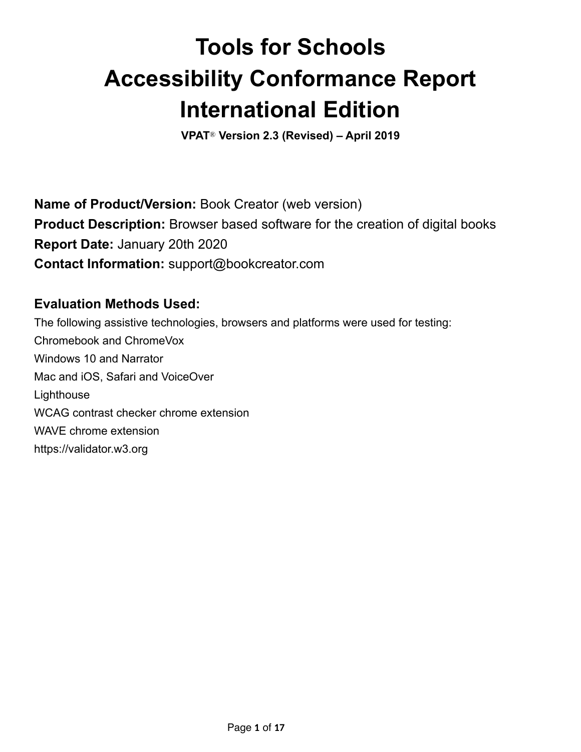# **Tools for Schools Accessibility Conformance Report International Edition**

**VPAT**® **Version 2.3 (Revised) – April 2019** 

**Name of Product/Version:** Book Creator (web version) **Product Description:** Browser based software for the creation of digital books **Report Date:** January 20th 2020 **Contact Information:** support@bookcreator.com

#### **Evaluation Methods Used:**

The following assistive technologies, browsers and platforms were used for testing: Chromebook and ChromeVox Windows 10 and Narrator Mac and iOS, Safari and VoiceOver **Lighthouse** WCAG contrast checker chrome extension WAVE chrome extension https://validator.w3.org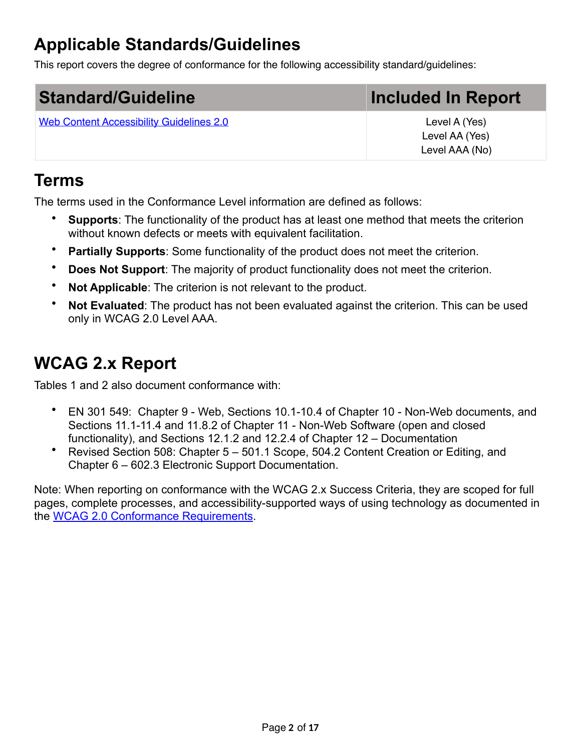# **Applicable Standards/Guidelines**

This report covers the degree of conformance for the following accessibility standard/guidelines:

| <b>Standard/Guideline</b>                       | Included In Report |
|-------------------------------------------------|--------------------|
| <b>Web Content Accessibility Guidelines 2.0</b> | Level A (Yes)      |
|                                                 | Level AA (Yes)     |
|                                                 | Level AAA (No)     |

#### **Terms**

The terms used in the Conformance Level information are defined as follows:

- **Supports**: The functionality of the product has at least one method that meets the criterion without known defects or meets with equivalent facilitation.
- **Partially Supports:** Some functionality of the product does not meet the criterion.
- **Does Not Support**: The majority of product functionality does not meet the criterion.
- **Not Applicable:** The criterion is not relevant to the product.
- **Not Evaluated**: The product has not been evaluated against the criterion. This can be used only in WCAG 2.0 Level AAA.

## **WCAG 2.x Report**

Tables 1 and 2 also document conformance with:

- EN 301 549: Chapter 9 Web, Sections 10.1-10.4 of Chapter 10 Non-Web documents, and Sections 11.1-11.4 and 11.8.2 of Chapter 11 - Non-Web Software (open and closed functionality), and Sections 12.1.2 and 12.2.4 of Chapter 12 – Documentation
- Revised Section 508: Chapter 5 501.1 Scope, 504.2 Content Creation or Editing, and Chapter 6 – 602.3 Electronic Support Documentation.

Note: When reporting on conformance with the WCAG 2.x Success Criteria, they are scoped for full pages, complete processes, and accessibility-supported ways of using technology as documented in the [WCAG 2.0 Conformance Requirements.](https://www.w3.org/TR/WCAG20/#conformance-reqs)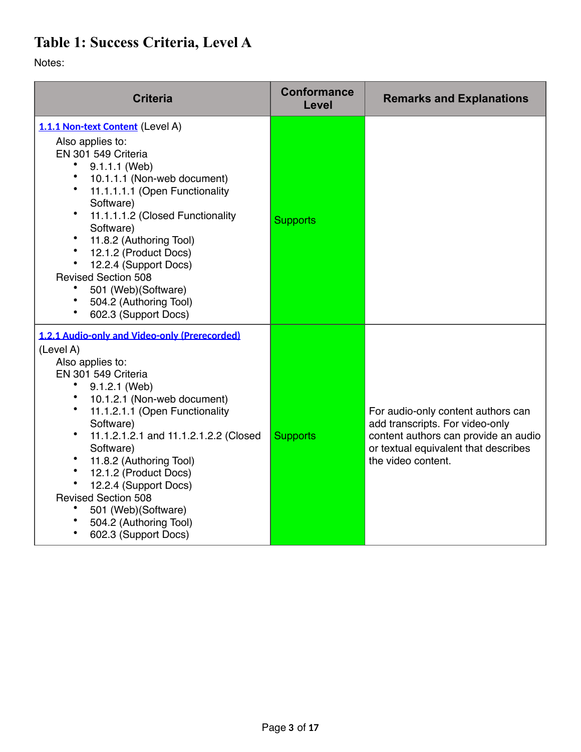### **Table 1: Success Criteria, Level A**

Notes:

| <b>Criteria</b>                                                                                                                                                                                                                                                                                                                                                                                                                                | <b>Conformance</b><br>Level | <b>Remarks and Explanations</b>                                                                                                                                             |
|------------------------------------------------------------------------------------------------------------------------------------------------------------------------------------------------------------------------------------------------------------------------------------------------------------------------------------------------------------------------------------------------------------------------------------------------|-----------------------------|-----------------------------------------------------------------------------------------------------------------------------------------------------------------------------|
| 1.1.1 Non-text Content (Level A)<br>Also applies to:<br>EN 301 549 Criteria<br>9.1.1.1 (Web)<br>$\bullet$<br>10.1.1.1 (Non-web document)<br>11.1.1.1.1 (Open Functionality<br>Software)<br>11.1.1.1.2 (Closed Functionality<br>Software)<br>11.8.2 (Authoring Tool)<br>12.1.2 (Product Docs)<br>12.2.4 (Support Docs)<br><b>Revised Section 508</b><br>501 (Web)(Software)<br>504.2 (Authoring Tool)<br>602.3 (Support Docs)                   | <b>Supports</b>             |                                                                                                                                                                             |
| 1.2.1 Audio-only and Video-only (Prerecorded)<br>(Level A)<br>Also applies to:<br>EN 301 549 Criteria<br>9.1.2.1 (Web)<br>10.1.2.1 (Non-web document)<br>11.1.2.1.1 (Open Functionality<br>Software)<br>11.1.2.1.2.1 and 11.1.2.1.2.2 (Closed<br>Software)<br>11.8.2 (Authoring Tool)<br>12.1.2 (Product Docs)<br>12.2.4 (Support Docs)<br><b>Revised Section 508</b><br>501 (Web)(Software)<br>504.2 (Authoring Tool)<br>602.3 (Support Docs) | <b>Supports</b>             | For audio-only content authors can<br>add transcripts. For video-only<br>content authors can provide an audio<br>or textual equivalent that describes<br>the video content. |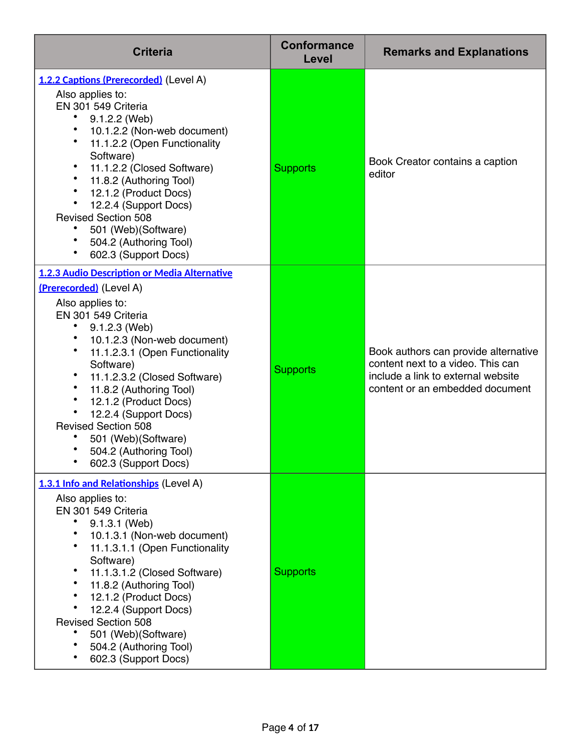| <b>Criteria</b>                                                                                                                                                                                                                                                                                                                                                                                                                       | <b>Conformance</b><br>Level | <b>Remarks and Explanations</b>                                                                                                                    |
|---------------------------------------------------------------------------------------------------------------------------------------------------------------------------------------------------------------------------------------------------------------------------------------------------------------------------------------------------------------------------------------------------------------------------------------|-----------------------------|----------------------------------------------------------------------------------------------------------------------------------------------------|
| 1.2.2 Captions (Prerecorded) (Level A)<br>Also applies to:<br>EN 301 549 Criteria<br>9.1.2.2 (Web)<br>10.1.2.2 (Non-web document)<br>11.1.2.2 (Open Functionality<br>Software)<br>11.1.2.2 (Closed Software)<br>11.8.2 (Authoring Tool)<br>12.1.2 (Product Docs)<br>12.2.4 (Support Docs)<br><b>Revised Section 508</b><br>501 (Web)(Software)<br>504.2 (Authoring Tool)<br>602.3 (Support Docs)                                      | <b>Supports</b>             | Book Creator contains a caption<br>editor                                                                                                          |
| 1.2.3 Audio Description or Media Alternative<br>(Prerecorded) (Level A)<br>Also applies to:<br>EN 301 549 Criteria<br>9.1.2.3 (Web)<br>10.1.2.3 (Non-web document)<br>11.1.2.3.1 (Open Functionality<br>Software)<br>11.1.2.3.2 (Closed Software)<br>11.8.2 (Authoring Tool)<br>12.1.2 (Product Docs)<br>12.2.4 (Support Docs)<br><b>Revised Section 508</b><br>501 (Web)(Software)<br>504.2 (Authoring Tool)<br>602.3 (Support Docs) | <b>Supports</b>             | Book authors can provide alternative<br>content next to a video. This can<br>include a link to external website<br>content or an embedded document |
| 1.3.1 Info and Relationships (Level A)<br>Also applies to:<br>EN 301 549 Criteria<br>9.1.3.1 (Web)<br>10.1.3.1 (Non-web document)<br>11.1.3.1.1 (Open Functionality<br>Software)<br>11.1.3.1.2 (Closed Software)<br>11.8.2 (Authoring Tool)<br>12.1.2 (Product Docs)<br>12.2.4 (Support Docs)<br><b>Revised Section 508</b><br>501 (Web) (Software)<br>504.2 (Authoring Tool)<br>602.3 (Support Docs)                                 | <b>Supports</b>             |                                                                                                                                                    |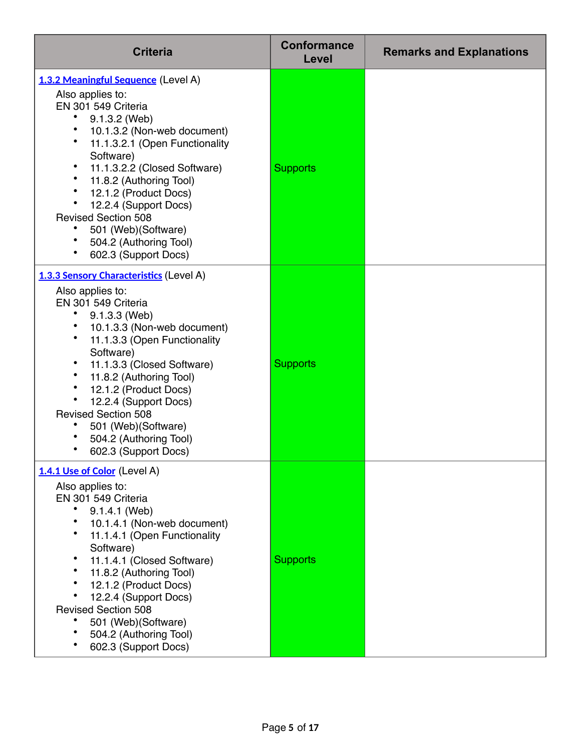| <b>Criteria</b>                                                                                                                                                                                                                                                                                                                                                                                                  | <b>Conformance</b><br>Level | <b>Remarks and Explanations</b> |
|------------------------------------------------------------------------------------------------------------------------------------------------------------------------------------------------------------------------------------------------------------------------------------------------------------------------------------------------------------------------------------------------------------------|-----------------------------|---------------------------------|
| 1.3.2 Meaningful Sequence (Level A)<br>Also applies to:<br>EN 301 549 Criteria<br>9.1.3.2 (Web)<br>10.1.3.2 (Non-web document)<br>11.1.3.2.1 (Open Functionality<br>Software)<br>11.1.3.2.2 (Closed Software)<br>11.8.2 (Authoring Tool)<br>12.1.2 (Product Docs)<br>12.2.4 (Support Docs)<br><b>Revised Section 508</b><br>501 (Web)(Software)<br>504.2 (Authoring Tool)<br>602.3 (Support Docs)                | <b>Supports</b>             |                                 |
| 1.3.3 Sensory Characteristics (Level A)<br>Also applies to:<br>EN 301 549 Criteria<br>$9.1.3.3$ (Web)<br>10.1.3.3 (Non-web document)<br>11.1.3.3 (Open Functionality<br>Software)<br>11.1.3.3 (Closed Software)<br>11.8.2 (Authoring Tool)<br>$\bullet$<br>12.1.2 (Product Docs)<br>12.2.4 (Support Docs)<br><b>Revised Section 508</b><br>501 (Web)(Software)<br>504.2 (Authoring Tool)<br>602.3 (Support Docs) | <b>Supports</b>             |                                 |
| 1.4.1 Use of Color (Level A)<br>Also applies to:<br>EN 301 549 Criteria<br>9.1.4.1 (Web)<br>10.1.4.1 (Non-web document)<br>11.1.4.1 (Open Functionality<br>Software)<br>11.1.4.1 (Closed Software)<br>11.8.2 (Authoring Tool)<br>12.1.2 (Product Docs)<br>12.2.4 (Support Docs)<br><b>Revised Section 508</b><br>501 (Web)(Software)<br>504.2 (Authoring Tool)<br>602.3 (Support Docs)                           | <b>Supports</b>             |                                 |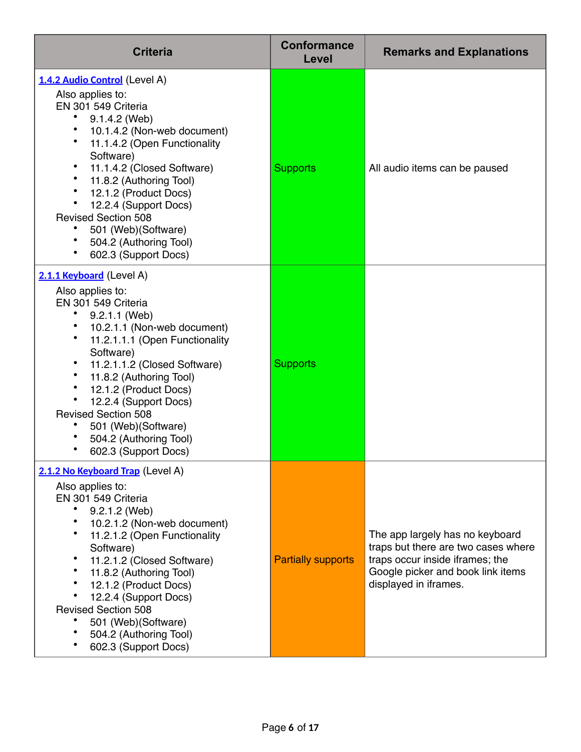| <b>Criteria</b>                                                                                                                                                                                                                                                                                                                                                                                        | <b>Conformance</b><br>Level | <b>Remarks and Explanations</b>                                                                                                                                         |
|--------------------------------------------------------------------------------------------------------------------------------------------------------------------------------------------------------------------------------------------------------------------------------------------------------------------------------------------------------------------------------------------------------|-----------------------------|-------------------------------------------------------------------------------------------------------------------------------------------------------------------------|
| 1.4.2 Audio Control (Level A)<br>Also applies to:<br>EN 301 549 Criteria<br>9.1.4.2 (Web)<br>10.1.4.2 (Non-web document)<br>11.1.4.2 (Open Functionality<br>Software)<br>11.1.4.2 (Closed Software)<br>11.8.2 (Authoring Tool)<br>12.1.2 (Product Docs)<br>12.2.4 (Support Docs)<br><b>Revised Section 508</b><br>501 (Web) (Software)<br>504.2 (Authoring Tool)<br>602.3 (Support Docs)               | <b>Supports</b>             | All audio items can be paused                                                                                                                                           |
| 2.1.1 Keyboard (Level A)<br>Also applies to:<br>EN 301 549 Criteria<br>$9.2.1.1$ (Web)<br>10.2.1.1 (Non-web document)<br>11.2.1.1.1 (Open Functionality<br>Software)<br>11.2.1.1.2 (Closed Software)<br>11.8.2 (Authoring Tool)<br>$\bullet$<br>12.1.2 (Product Docs)<br>12.2.4 (Support Docs)<br><b>Revised Section 508</b><br>501 (Web) (Software)<br>504.2 (Authoring Tool)<br>602.3 (Support Docs) | <b>Supports</b>             |                                                                                                                                                                         |
| 2.1.2 No Keyboard Trap (Level A)<br>Also applies to:<br>EN 301 549 Criteria<br>9.2.1.2 (Web)<br>10.2.1.2 (Non-web document)<br>11.2.1.2 (Open Functionality<br>Software)<br>11.2.1.2 (Closed Software)<br>11.8.2 (Authoring Tool)<br>12.1.2 (Product Docs)<br>12.2.4 (Support Docs)<br><b>Revised Section 508</b><br>501 (Web) (Software)<br>504.2 (Authoring Tool)<br>602.3 (Support Docs)            | <b>Partially supports</b>   | The app largely has no keyboard<br>traps but there are two cases where<br>traps occur inside iframes; the<br>Google picker and book link items<br>displayed in iframes. |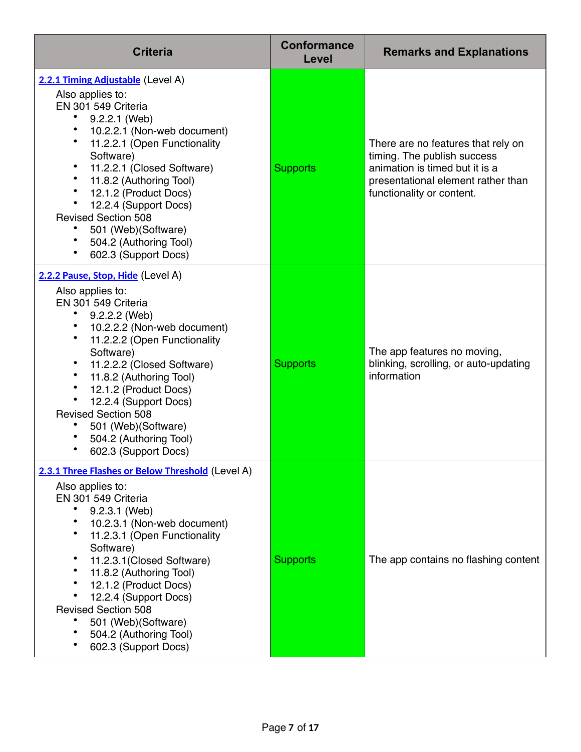| <b>Criteria</b>                                                                                                                                                                                                                                                                                                                                                                                             | <b>Conformance</b><br>Level | <b>Remarks and Explanations</b>                                                                                                                                        |
|-------------------------------------------------------------------------------------------------------------------------------------------------------------------------------------------------------------------------------------------------------------------------------------------------------------------------------------------------------------------------------------------------------------|-----------------------------|------------------------------------------------------------------------------------------------------------------------------------------------------------------------|
| 2.2.1 Timing Adjustable (Level A)<br>Also applies to:<br>EN 301 549 Criteria<br>9.2.2.1 (Web)<br>10.2.2.1 (Non-web document)<br>11.2.2.1 (Open Functionality<br>Software)<br>11.2.2.1 (Closed Software)<br>11.8.2 (Authoring Tool)<br>12.1.2 (Product Docs)<br>12.2.4 (Support Docs)<br><b>Revised Section 508</b><br>501 (Web)(Software)<br>504.2 (Authoring Tool)<br>602.3 (Support Docs)                 | <b>Supports</b>             | There are no features that rely on<br>timing. The publish success<br>animation is timed but it is a<br>presentational element rather than<br>functionality or content. |
| 2.2.2 Pause, Stop, Hide (Level A)<br>Also applies to:<br>EN 301 549 Criteria<br>$9.2.2.2$ (Web)<br>10.2.2.2 (Non-web document)<br>11.2.2.2 (Open Functionality<br>Software)<br>11.2.2.2 (Closed Software)<br>11.8.2 (Authoring Tool)<br>$\bullet$<br>12.1.2 (Product Docs)<br>12.2.4 (Support Docs)<br><b>Revised Section 508</b><br>501 (Web) (Software)<br>504.2 (Authoring Tool)<br>602.3 (Support Docs) | <b>Supports</b>             | The app features no moving,<br>blinking, scrolling, or auto-updating<br>information                                                                                    |
| 2.3.1 Three Flashes or Below Threshold (Level A)<br>Also applies to:<br>EN 301 549 Criteria<br>9.2.3.1 (Web)<br>10.2.3.1 (Non-web document)<br>11.2.3.1 (Open Functionality<br>Software)<br>11.2.3.1 (Closed Software)<br>11.8.2 (Authoring Tool)<br>12.1.2 (Product Docs)<br>12.2.4 (Support Docs)<br><b>Revised Section 508</b><br>501 (Web) (Software)<br>504.2 (Authoring Tool)<br>602.3 (Support Docs) | <b>Supports</b>             | The app contains no flashing content                                                                                                                                   |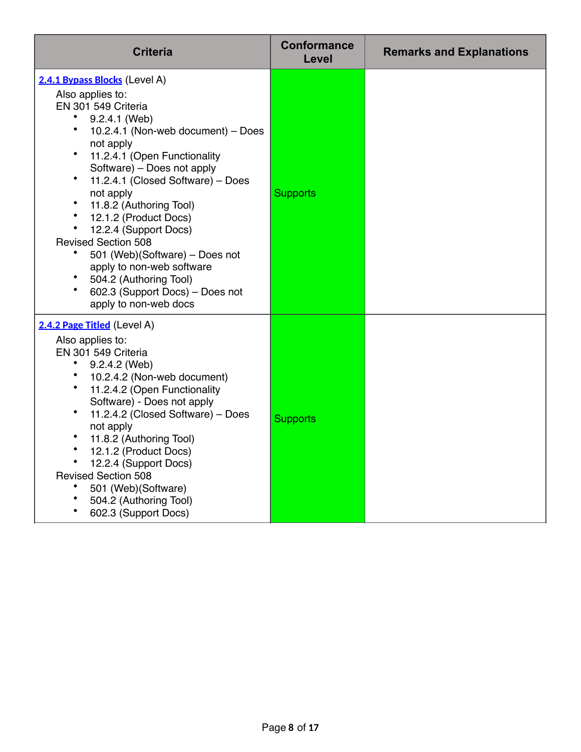| <b>Criteria</b>                                                                                                                                                                                                                                                                                                                                                                                                                                                                                                                                                                  | <b>Conformance</b><br>Level | <b>Remarks and Explanations</b> |
|----------------------------------------------------------------------------------------------------------------------------------------------------------------------------------------------------------------------------------------------------------------------------------------------------------------------------------------------------------------------------------------------------------------------------------------------------------------------------------------------------------------------------------------------------------------------------------|-----------------------------|---------------------------------|
| 2.4.1 Bypass Blocks (Level A)<br>Also applies to:<br>EN 301 549 Criteria<br>$\bullet$<br>9.2.4.1 (Web)<br>$\bullet$<br>10.2.4.1 (Non-web document) - Does<br>not apply<br>11.2.4.1 (Open Functionality<br>Software) - Does not apply<br>$\bullet$<br>11.2.4.1 (Closed Software) - Does<br>not apply<br>11.8.2 (Authoring Tool)<br>$\bullet$<br>12.1.2 (Product Docs)<br>12.2.4 (Support Docs)<br><b>Revised Section 508</b><br>501 (Web)(Software) - Does not<br>apply to non-web software<br>504.2 (Authoring Tool)<br>602.3 (Support Docs) - Does not<br>apply to non-web docs | <b>Supports</b>             |                                 |
| 2.4.2 Page Titled (Level A)<br>Also applies to:<br>EN 301 549 Criteria<br>9.2.4.2 (Web)<br>$\bullet$<br>10.2.4.2 (Non-web document)<br>$\bullet$<br>11.2.4.2 (Open Functionality<br>Software) - Does not apply<br>$\bullet$<br>11.2.4.2 (Closed Software) - Does<br>not apply<br>11.8.2 (Authoring Tool)<br>12.1.2 (Product Docs)<br>12.2.4 (Support Docs)<br><b>Revised Section 508</b><br>501 (Web) (Software)<br>504.2 (Authoring Tool)<br>602.3 (Support Docs)                                                                                                               | <b>Supports</b>             |                                 |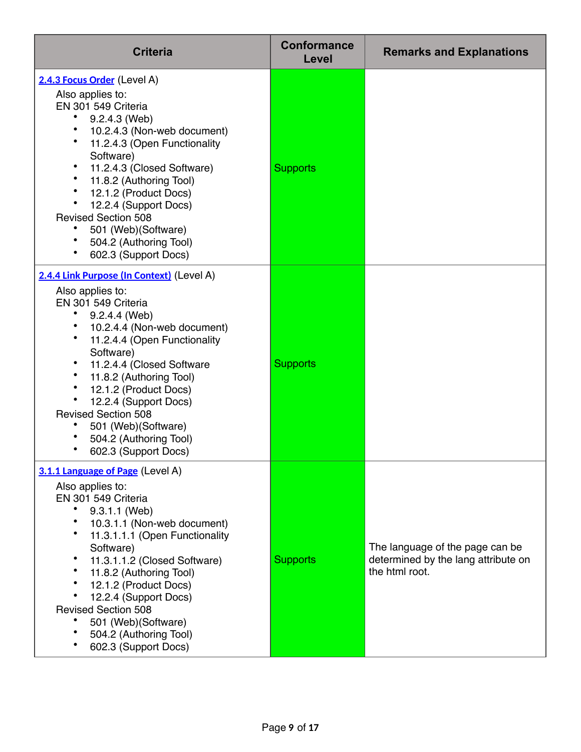| <b>Criteria</b>                                                                                                                                                                                                                                                                                                                                                                                     | <b>Conformance</b><br>Level | <b>Remarks and Explanations</b>                                                          |
|-----------------------------------------------------------------------------------------------------------------------------------------------------------------------------------------------------------------------------------------------------------------------------------------------------------------------------------------------------------------------------------------------------|-----------------------------|------------------------------------------------------------------------------------------|
| 2.4.3 Focus Order (Level A)<br>Also applies to:<br>EN 301 549 Criteria<br>9.2.4.3 (Web)<br>10.2.4.3 (Non-web document)<br>11.2.4.3 (Open Functionality<br>Software)<br>11.2.4.3 (Closed Software)<br>11.8.2 (Authoring Tool)<br>12.1.2 (Product Docs)<br>12.2.4 (Support Docs)<br><b>Revised Section 508</b><br>501 (Web) (Software)<br>504.2 (Authoring Tool)<br>602.3 (Support Docs)              | <b>Supports</b>             |                                                                                          |
| 2.4.4 Link Purpose (In Context) (Level A)<br>Also applies to:<br>EN 301 549 Criteria<br>9.2.4.4 (Web)<br>10.2.4.4 (Non-web document)<br>11.2.4.4 (Open Functionality<br>Software)<br>11.2.4.4 (Closed Software<br>11.8.2 (Authoring Tool)<br>12.1.2 (Product Docs)<br>12.2.4 (Support Docs)<br><b>Revised Section 508</b><br>501 (Web) (Software)<br>504.2 (Authoring Tool)<br>602.3 (Support Docs) | <b>Supports</b>             |                                                                                          |
| 3.1.1 Language of Page (Level A)<br>Also applies to:<br>EN 301 549 Criteria<br>9.3.1.1 (Web)<br>10.3.1.1 (Non-web document)<br>11.3.1.1.1 (Open Functionality<br>Software)<br>11.3.1.1.2 (Closed Software)<br>11.8.2 (Authoring Tool)<br>12.1.2 (Product Docs)<br>12.2.4 (Support Docs)<br><b>Revised Section 508</b><br>501 (Web) (Software)<br>504.2 (Authoring Tool)<br>602.3 (Support Docs)     | <b>Supports</b>             | The language of the page can be<br>determined by the lang attribute on<br>the html root. |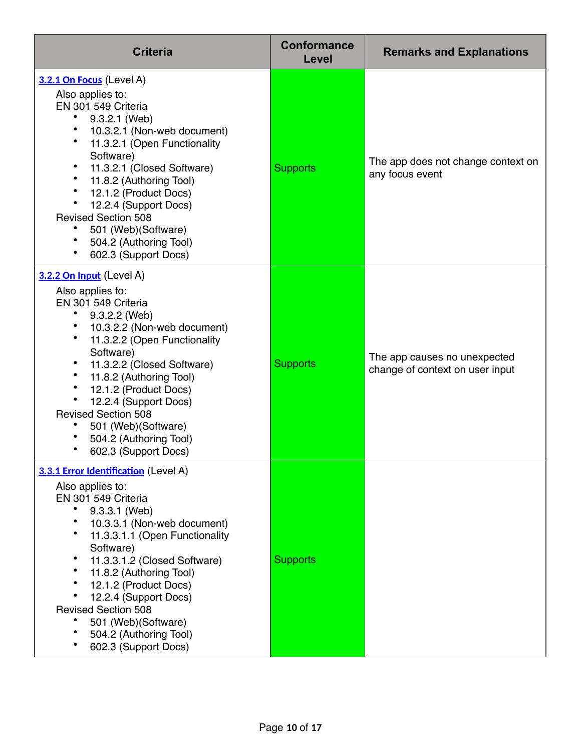| <b>Criteria</b>                                                                                                                                                                                                                                                                                                                                                                                     | <b>Conformance</b><br>Level | <b>Remarks and Explanations</b>                                 |
|-----------------------------------------------------------------------------------------------------------------------------------------------------------------------------------------------------------------------------------------------------------------------------------------------------------------------------------------------------------------------------------------------------|-----------------------------|-----------------------------------------------------------------|
| 3.2.1 On Focus (Level A)<br>Also applies to:<br>EN 301 549 Criteria<br>9.3.2.1 (Web)<br>10.3.2.1 (Non-web document)<br>11.3.2.1 (Open Functionality<br>Software)<br>11.3.2.1 (Closed Software)<br>11.8.2 (Authoring Tool)<br>12.1.2 (Product Docs)<br>12.2.4 (Support Docs)<br><b>Revised Section 508</b><br>501 (Web) (Software)<br>504.2 (Authoring Tool)<br>602.3 (Support Docs)                 | <b>Supports</b>             | The app does not change context on<br>any focus event           |
| 3.2.2 On Input (Level A)<br>Also applies to:<br>EN 301 549 Criteria<br>$9.3.2.2$ (Web)<br>10.3.2.2 (Non-web document)<br>11.3.2.2 (Open Functionality<br>Software)<br>11.3.2.2 (Closed Software)<br>11.8.2 (Authoring Tool)<br>$\bullet$<br>12.1.2 (Product Docs)<br>12.2.4 (Support Docs)<br><b>Revised Section 508</b><br>501 (Web) (Software)<br>504.2 (Authoring Tool)<br>602.3 (Support Docs)  | <b>Supports</b>             | The app causes no unexpected<br>change of context on user input |
| 3.3.1 Error Identification (Level A)<br>Also applies to:<br>EN 301 549 Criteria<br>9.3.3.1 (Web)<br>10.3.3.1 (Non-web document)<br>11.3.3.1.1 (Open Functionality<br>Software)<br>11.3.3.1.2 (Closed Software)<br>11.8.2 (Authoring Tool)<br>12.1.2 (Product Docs)<br>12.2.4 (Support Docs)<br><b>Revised Section 508</b><br>501 (Web) (Software)<br>504.2 (Authoring Tool)<br>602.3 (Support Docs) | <b>Supports</b>             |                                                                 |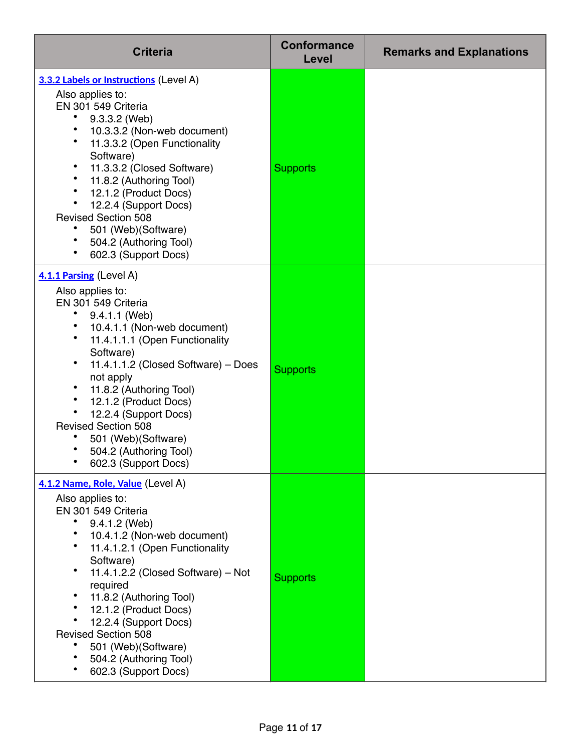| <b>Criteria</b>                                                                                                                                                                                                                                                                                                                                                                                                                 | <b>Conformance</b><br>Level | <b>Remarks and Explanations</b> |
|---------------------------------------------------------------------------------------------------------------------------------------------------------------------------------------------------------------------------------------------------------------------------------------------------------------------------------------------------------------------------------------------------------------------------------|-----------------------------|---------------------------------|
| 3.3.2 Labels or Instructions (Level A)<br>Also applies to:<br>EN 301 549 Criteria<br>9.3.3.2 (Web)<br>10.3.3.2 (Non-web document)<br>11.3.3.2 (Open Functionality<br>Software)<br>11.3.3.2 (Closed Software)<br>11.8.2 (Authoring Tool)<br>12.1.2 (Product Docs)<br>12.2.4 (Support Docs)<br><b>Revised Section 508</b><br>501 (Web) (Software)<br>504.2 (Authoring Tool)<br>602.3 (Support Docs)                               | <b>Supports</b>             |                                 |
| 4.1.1 Parsing (Level A)<br>Also applies to:<br>EN 301 549 Criteria<br>9.4.1.1 (Web)<br>10.4.1.1 (Non-web document)<br>11.4.1.1.1 (Open Functionality<br>Software)<br>٠<br>11.4.1.1.2 (Closed Software) - Does<br>not apply<br>11.8.2 (Authoring Tool)<br>12.1.2 (Product Docs)<br>12.2.4 (Support Docs)<br><b>Revised Section 508</b><br>501 (Web) (Software)<br>504.2 (Authoring Tool)<br>602.3 (Support Docs)                 | <b>Supports</b>             |                                 |
| 4.1.2 Name, Role, Value (Level A)<br>Also applies to:<br>EN 301 549 Criteria<br>9.4.1.2 (Web)<br>10.4.1.2 (Non-web document)<br>$\bullet$<br>11.4.1.2.1 (Open Functionality<br>Software)<br>11.4.1.2.2 (Closed Software) - Not<br>required<br>11.8.2 (Authoring Tool)<br>12.1.2 (Product Docs)<br>12.2.4 (Support Docs)<br><b>Revised Section 508</b><br>501 (Web) (Software)<br>504.2 (Authoring Tool)<br>602.3 (Support Docs) | <b>Supports</b>             |                                 |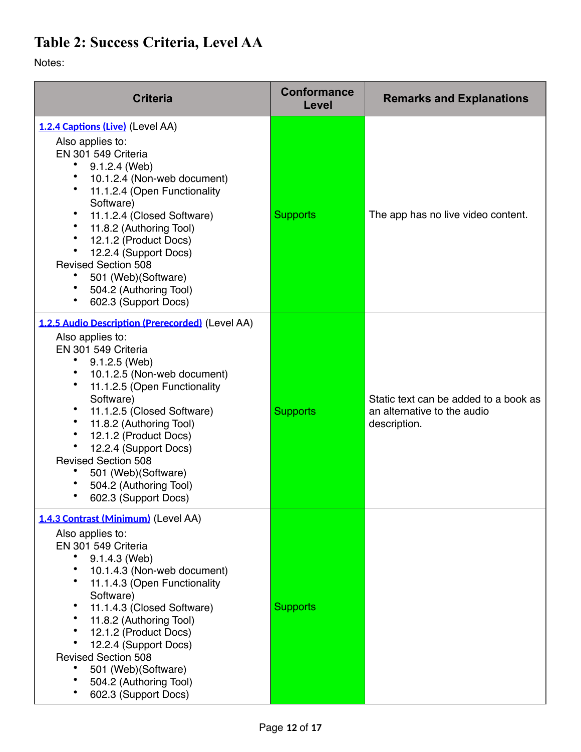### **Table 2: Success Criteria, Level AA**

Notes:

| <b>Criteria</b>                                                                                                                                                                                                                                                                                                                                                                                               | <b>Conformance</b><br>Level | <b>Remarks and Explanations</b>                                                      |
|---------------------------------------------------------------------------------------------------------------------------------------------------------------------------------------------------------------------------------------------------------------------------------------------------------------------------------------------------------------------------------------------------------------|-----------------------------|--------------------------------------------------------------------------------------|
| 1.2.4 Captions (Live) (Level AA)<br>Also applies to:<br>EN 301 549 Criteria<br>$9.1.2.4$ (Web)<br>10.1.2.4 (Non-web document)<br>11.1.2.4 (Open Functionality<br>Software)<br>11.1.2.4 (Closed Software)<br>11.8.2 (Authoring Tool)<br>$\bullet$<br>12.1.2 (Product Docs)<br>12.2.4 (Support Docs)<br><b>Revised Section 508</b><br>501 (Web)(Software)<br>504.2 (Authoring Tool)<br>602.3 (Support Docs)     | <b>Supports</b>             | The app has no live video content.                                                   |
| 1.2.5 Audio Description (Prerecorded) (Level AA)<br>Also applies to:<br>EN 301 549 Criteria<br>$9.1.2.5$ (Web)<br>10.1.2.5 (Non-web document)<br>11.1.2.5 (Open Functionality<br>Software)<br>11.1.2.5 (Closed Software)<br>11.8.2 (Authoring Tool)<br>12.1.2 (Product Docs)<br>12.2.4 (Support Docs)<br><b>Revised Section 508</b><br>501 (Web) (Software)<br>504.2 (Authoring Tool)<br>602.3 (Support Docs) | <b>Supports</b>             | Static text can be added to a book as<br>an alternative to the audio<br>description. |
| 1.4.3 Contrast (Minimum) (Level AA)<br>Also applies to:<br>EN 301 549 Criteria<br>9.1.4.3 (Web)<br>10.1.4.3 (Non-web document)<br>٠<br>11.1.4.3 (Open Functionality<br>Software)<br>11.1.4.3 (Closed Software)<br>11.8.2 (Authoring Tool)<br>12.1.2 (Product Docs)<br>12.2.4 (Support Docs)<br><b>Revised Section 508</b><br>501 (Web)(Software)<br>504.2 (Authoring Tool)<br>602.3 (Support Docs)            | <b>Supports</b>             |                                                                                      |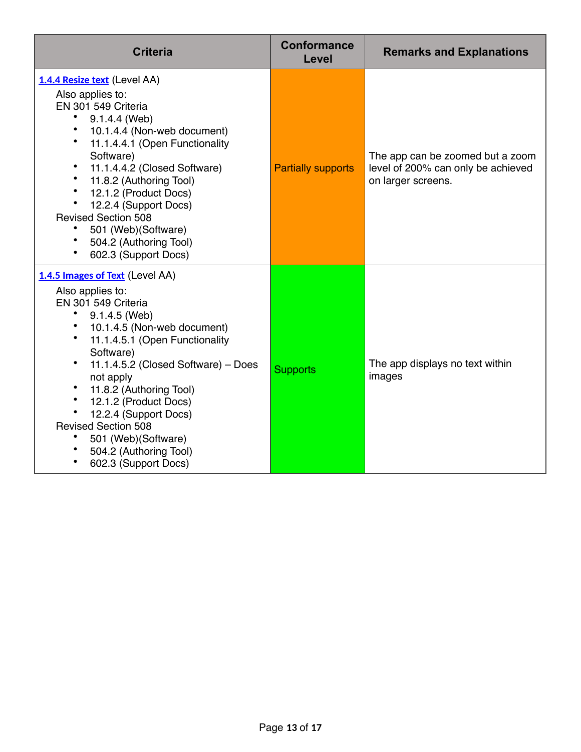| <b>Criteria</b>                                                                                                                                                                                                                                                                                                                                                                                                                                                | <b>Conformance</b><br>Level | <b>Remarks and Explanations</b>                                                              |
|----------------------------------------------------------------------------------------------------------------------------------------------------------------------------------------------------------------------------------------------------------------------------------------------------------------------------------------------------------------------------------------------------------------------------------------------------------------|-----------------------------|----------------------------------------------------------------------------------------------|
| 1.4.4 Resize text (Level AA)<br>Also applies to:<br>EN 301 549 Criteria<br>9.1.4.4 (Web)<br>10.1.4.4 (Non-web document)<br>$\bullet$<br>11.1.4.4.1 (Open Functionality<br>Software)<br>11.1.4.4.2 (Closed Software)<br>$\bullet$<br>11.8.2 (Authoring Tool)<br>* 12.1.2 (Product Docs)<br>$\bullet$<br>12.2.4 (Support Docs)<br><b>Revised Section 508</b><br>501 (Web) (Software)<br>504.2 (Authoring Tool)<br>602.3 (Support Docs)                           | <b>Partially supports</b>   | The app can be zoomed but a zoom<br>level of 200% can only be achieved<br>on larger screens. |
| 1.4.5 Images of Text (Level AA)<br>Also applies to:<br>EN 301 549 Criteria<br>٠<br>9.1.4.5 (Web)<br>$\bullet$<br>10.1.4.5 (Non-web document)<br>$\bullet$<br>11.1.4.5.1 (Open Functionality<br>Software)<br>$\bullet$<br>11.1.4.5.2 (Closed Software) - Does<br>not apply<br>11.8.2 (Authoring Tool)<br>12.1.2 (Product Docs)<br>12.2.4 (Support Docs)<br><b>Revised Section 508</b><br>501 (Web) (Software)<br>504.2 (Authoring Tool)<br>602.3 (Support Docs) | <b>Supports</b>             | The app displays no text within<br>images                                                    |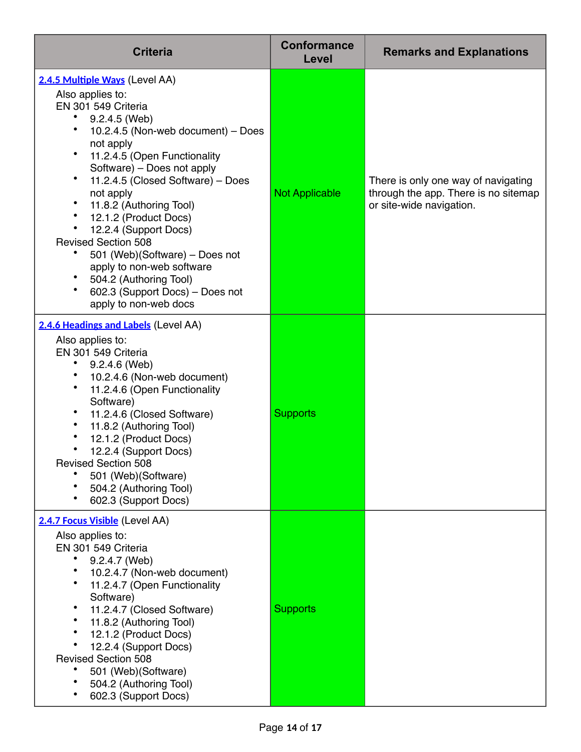| <b>Criteria</b>                                                                                                                                                                                                                                                                                                                                                                                                                                                                                                                                                                   | <b>Conformance</b><br>Level | <b>Remarks and Explanations</b>                                                                         |
|-----------------------------------------------------------------------------------------------------------------------------------------------------------------------------------------------------------------------------------------------------------------------------------------------------------------------------------------------------------------------------------------------------------------------------------------------------------------------------------------------------------------------------------------------------------------------------------|-----------------------------|---------------------------------------------------------------------------------------------------------|
| 2.4.5 Multiple Ways (Level AA)<br>Also applies to:<br>EN 301 549 Criteria<br>9.2.4.5 (Web)<br>٠<br>10.2.4.5 (Non-web document) - Does<br>not apply<br>$\bullet$<br>11.2.4.5 (Open Functionality<br>Software) – Does not apply<br>٠<br>11.2.4.5 (Closed Software) - Does<br>not apply<br>٠<br>11.8.2 (Authoring Tool)<br>$\bullet$<br>12.1.2 (Product Docs)<br>12.2.4 (Support Docs)<br><b>Revised Section 508</b><br>501 (Web) (Software) – Does not<br>apply to non-web software<br>٠<br>504.2 (Authoring Tool)<br>602.3 (Support Docs) - Does not<br>٠<br>apply to non-web docs | <b>Not Applicable</b>       | There is only one way of navigating<br>through the app. There is no sitemap<br>or site-wide navigation. |
| 2.4.6 Headings and Labels (Level AA)<br>Also applies to:<br>EN 301 549 Criteria<br>9.2.4.6 (Web)<br>٠<br>10.2.4.6 (Non-web document)<br>$\bullet$<br>11.2.4.6 (Open Functionality<br>Software)<br>11.2.4.6 (Closed Software)<br>٠<br>٠<br>11.8.2 (Authoring Tool)<br>12.1.2 (Product Docs)<br>12.2.4 (Support Docs)<br><b>Revised Section 508</b><br>501 (Web) (Software)<br>504.2 (Authoring Tool)<br>602.3 (Support Docs)                                                                                                                                                       | <b>Supports</b>             |                                                                                                         |
| 2.4.7 Focus Visible (Level AA)<br>Also applies to:<br>EN 301 549 Criteria<br>9.2.4.7 (Web)<br>10.2.4.7 (Non-web document)<br>11.2.4.7 (Open Functionality<br>Software)<br>11.2.4.7 (Closed Software)<br>٠<br>11.8.2 (Authoring Tool)<br>12.1.2 (Product Docs)<br>12.2.4 (Support Docs)<br><b>Revised Section 508</b><br>501 (Web) (Software)<br>504.2 (Authoring Tool)<br>602.3 (Support Docs)                                                                                                                                                                                    | <b>Supports</b>             |                                                                                                         |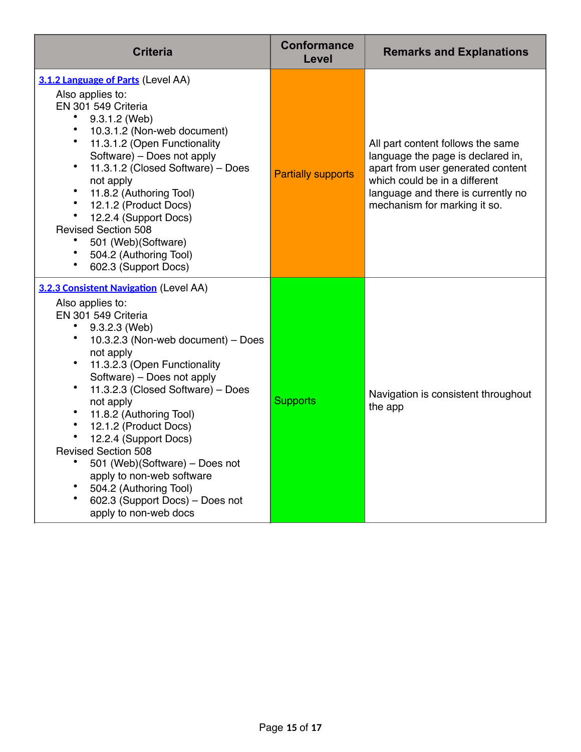| <b>Criteria</b>                                                                                                                                                                                                                                                                                                                                                                                                                                                                                                                       | <b>Conformance</b><br>Level | <b>Remarks and Explanations</b>                                                                                                                                                                                    |
|---------------------------------------------------------------------------------------------------------------------------------------------------------------------------------------------------------------------------------------------------------------------------------------------------------------------------------------------------------------------------------------------------------------------------------------------------------------------------------------------------------------------------------------|-----------------------------|--------------------------------------------------------------------------------------------------------------------------------------------------------------------------------------------------------------------|
| 3.1.2 Language of Parts (Level AA)<br>Also applies to:<br>EN 301 549 Criteria<br>9.3.1.2 (Web)<br>10.3.1.2 (Non-web document)<br>11.3.1.2 (Open Functionality<br>Software) - Does not apply<br>11.3.1.2 (Closed Software) - Does<br>not apply<br>11.8.2 (Authoring Tool)<br>12.1.2 (Product Docs)<br>12.2.4 (Support Docs)<br><b>Revised Section 508</b><br>501 (Web)(Software)<br>504.2 (Authoring Tool)<br>602.3 (Support Docs)                                                                                                     | <b>Partially supports</b>   | All part content follows the same<br>language the page is declared in,<br>apart from user generated content<br>which could be in a different<br>language and there is currently no<br>mechanism for marking it so. |
| 3.2.3 Consistent Navigation (Level AA)<br>Also applies to:<br>EN 301 549 Criteria<br>9.3.2.3 (Web)<br>10.3.2.3 (Non-web document) - Does<br>not apply<br>11.3.2.3 (Open Functionality<br>Software) - Does not apply<br>11.3.2.3 (Closed Software) - Does<br>not apply<br>11.8.2 (Authoring Tool)<br>12.1.2 (Product Docs)<br>12.2.4 (Support Docs)<br><b>Revised Section 508</b><br>501 (Web)(Software) - Does not<br>apply to non-web software<br>504.2 (Authoring Tool)<br>602.3 (Support Docs) - Does not<br>apply to non-web docs | <b>Supports</b>             | Navigation is consistent throughout<br>the app                                                                                                                                                                     |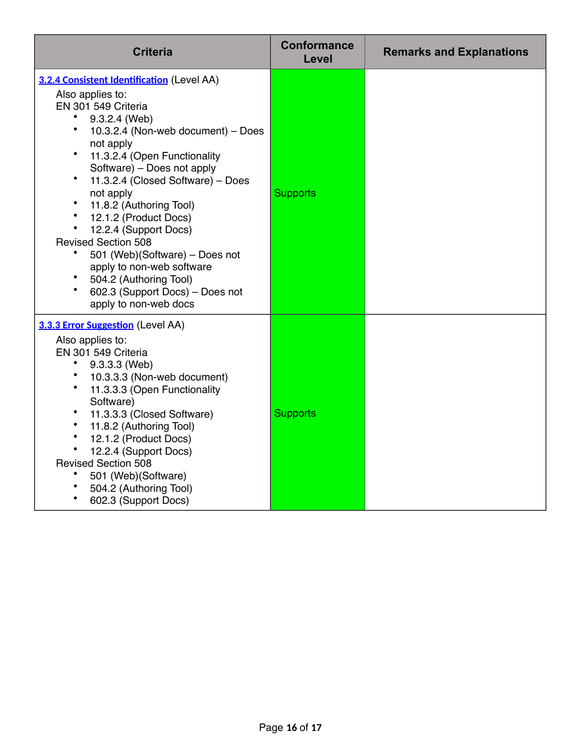| <b>Criteria</b>                                                                                                                                                                                                                                                                                                                                                                                                                                                                                                                                                                                                         | <b>Conformance</b><br>Level | <b>Remarks and Explanations</b> |
|-------------------------------------------------------------------------------------------------------------------------------------------------------------------------------------------------------------------------------------------------------------------------------------------------------------------------------------------------------------------------------------------------------------------------------------------------------------------------------------------------------------------------------------------------------------------------------------------------------------------------|-----------------------------|---------------------------------|
| 3.2.4 Consistent Identification (Level AA)<br>Also applies to:<br>EN 301 549 Criteria<br>9.3.2.4 (Web)<br>$\bullet$<br>10.3.2.4 (Non-web document) - Does<br>not apply<br>$\bullet$<br>11.3.2.4 (Open Functionality<br>Software) - Does not apply<br>$\bullet$<br>11.3.2.4 (Closed Software) - Does<br>not apply<br>$\bullet$<br>11.8.2 (Authoring Tool)<br>$\bullet$<br>12.1.2 (Product Docs)<br>12.2.4 (Support Docs)<br><b>Revised Section 508</b><br>501 (Web)(Software) - Does not<br>apply to non-web software<br>504.2 (Authoring Tool)<br>$\bullet$<br>602.3 (Support Docs) - Does not<br>apply to non-web docs | <b>Supports</b>             |                                 |
| 3.3.3 Error Suggestion (Level AA)<br>Also applies to:<br>EN 301 549 Criteria<br>9.3.3.3 (Web)<br>10.3.3.3 (Non-web document)<br>11.3.3.3 (Open Functionality<br>Software)<br>$\bullet$<br>11.3.3.3 (Closed Software)<br>11.8.2 (Authoring Tool)<br>$\bullet$<br>12.1.2 (Product Docs)<br>$\bullet$<br>12.2.4 (Support Docs)<br><b>Revised Section 508</b><br>501 (Web)(Software)<br>504.2 (Authoring Tool)<br>602.3 (Support Docs)                                                                                                                                                                                      | <b>Supports</b>             |                                 |